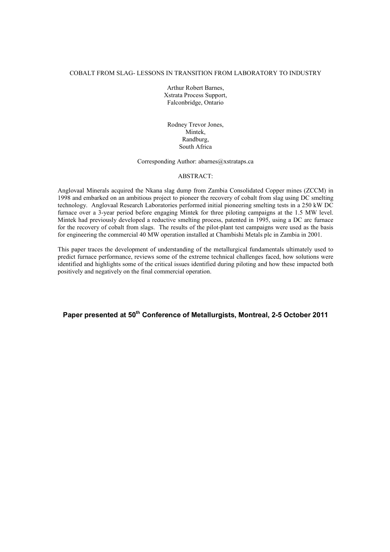## COBALT FROM SLAG- LESSONS IN TRANSITION FROM LABORATORY TO INDUSTRY

Arthur Robert Barnes, Xstrata Process Support, Falconbridge, Ontario

Rodney Trevor Jones, Mintek, Randburg, South Africa

Corresponding Author: abarnes@xstrataps.ca

## ABSTRACT:

Anglovaal Minerals acquired the Nkana slag dump from Zambia Consolidated Copper mines (ZCCM) in 1998 and embarked on an ambitious project to pioneer the recovery of cobalt from slag using DC smelting technology. Anglovaal Research Laboratories performed initial pioneering smelting tests in a 250 kW DC furnace over a 3-year period before engaging Mintek for three piloting campaigns at the 1.5 MW level. Mintek had previously developed a reductive smelting process, patented in 1995, using a DC arc furnace for the recovery of cobalt from slags. The results of the pilot-plant test campaigns were used as the basis for engineering the commercial 40 MW operation installed at Chambishi Metals plc in Zambia in 2001.

This paper traces the development of understanding of the metallurgical fundamentals ultimately used to predict furnace performance, reviews some of the extreme technical challenges faced, how solutions were identified and highlights some of the critical issues identified during piloting and how these impacted both positively and negatively on the final commercial operation.

**Paper presented at 50th Conference of Metallurgists, Montreal, 2-5 October 2011**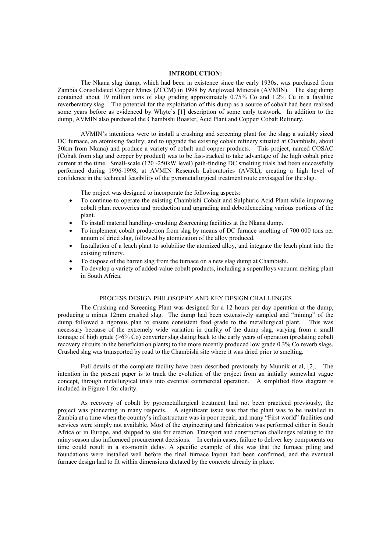#### **INTRODUCTION:**

The Nkana slag dump, which had been in existence since the early 1930s, was purchased from Zambia Consolidated Copper Mines (ZCCM) in 1998 by Anglovaal Minerals (AVMIN). The slag dump contained about 19 million tons of slag grading approximately 0.75% Co and 1.2% Cu in a fayalitic reverberatory slag. The potential for the exploitation of this dump as a source of cobalt had been realised some years before as evidenced by Whyte's [1] description of some early testwork. In addition to the dump, AVMIN also purchased the Chambishi Roaster, Acid Plant and Copper/ Cobalt Refinery.

AVMIN's intentions were to install a crushing and screening plant for the slag; a suitably sized DC furnace, an atomising facility; and to upgrade the existing cobalt refinery situated at Chambishi, about 30km from Nkana) and produce a variety of cobalt and copper products. This project, named COSAC (Cobalt from slag and copper by product) was to be fast-tracked to take advantage of the high cobalt price current at the time. Small-scale (120 -250kW level) path-finding DC smelting trials had been successfully performed during 1996-1998, at AVMIN Research Laboratories (AVRL), creating a high level of confidence in the technical feasibility of the pyrometallurgical treatment route envisaged for the slag.

The project was designed to incorporate the following aspects:

- · To continue to operate the existing Chambishi Cobalt and Sulphuric Acid Plant while improving cobalt plant recoveries and production and upgrading and debottlenecking various portions of the plant.
- To install material handling- crushing &screening facilities at the Nkana dump.
- · To implement cobalt production from slag by means of DC furnace smelting of 700 000 tons per annum of dried slag, followed by atomization of the alloy produced.
- Installation of a leach plant to solubilise the atomized alloy, and integrate the leach plant into the existing refinery.
- · To dispose of the barren slag from the furnace on a new slag dump at Chambishi.
- · To develop a variety of added-value cobalt products, including a superalloys vacuum melting plant in South Africa.

## PROCESS DESIGN PHILOSOPHY AND KEY DESIGN CHALLENGES

The Crushing and Screening Plant was designed for a 12 hours per day operation at the dump, producing a minus 12mm crushed slag. The dump had been extensively sampled and "mining" of the dump followed a rigorous plan to ensure consistent feed grade to the metallurgical plant. This was necessary because of the extremely wide variation in quality of the dump slag, varying from a small tonnage of high grade (>6% Co) converter slag dating back to the early years of operation (predating cobalt recovery circuits in the beneficiation plants) to the more recently produced low grade 0.3% Co reverb slags. Crushed slag was transported by road to the Chambishi site where it was dried prior to smelting.

Full details of the complete facility have been described previously by Munnik et al, [2]. The intention in the present paper is to track the evolution of the project from an initially somewhat vague concept, through metallurgical trials into eventual commercial operation. A simplified flow diagram is included in Figure 1 for clarity.

As recovery of cobalt by pyrometallurgical treatment had not been practiced previously, the project was pioneering in many respects. A significant issue was that the plant was to be installed in Zambia at a time when the country's infrastructure was in poor repair, and many "First world" facilities and services were simply not available. Most of the engineering and fabrication was performed either in South Africa or in Europe, and shipped to site for erection. Transport and construction challenges relating to the rainy season also influenced procurement decisions. In certain cases, failure to deliver key components on time could result in a six-month delay. A specific example of this was that the furnace piling and foundations were installed well before the final furnace layout had been confirmed, and the eventual furnace design had to fit within dimensions dictated by the concrete already in place.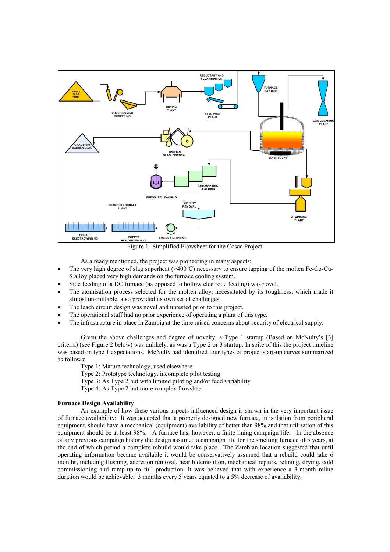

- As already mentioned, the project was pioneering in many aspects: The very high degree of slag superheat  $(>= 400^{\circ}C)$  necessary to ensure tapping of the molten Fe-Co-Cu-
- S alloy placed very high demands on the furnace cooling system.
- Side feeding of a DC furnace (as opposed to hollow electrode feeding) was novel.
- The atomisation process selected for the molten alloy, necessitated by its toughness, which made it almost un-millable, also provided its own set of challenges.
- The leach circuit design was novel and untested prior to this project.
- The operational staff had no prior experience of operating a plant of this type.
- · The infrastructure in place in Zambia at the time raised concerns about security of electrical supply.

Given the above challenges and degree of novelty, a Type 1 startup (Based on McNulty's [3] criteria) (see Figure 2 below) was unlikely, as was a Type 2 or 3 startup. In spite of this the project timeline was based on type 1 expectations. McNulty had identified four types of project start-up curves summarized as follows:

- Type 1: Mature technology, used elsewhere
- Type 2: Prototype technology, incomplete pilot testing
- Type 3: As Type 2 but with limited piloting and/or feed variability
- Type 4: As Type 2 but more complex flowsheet

### **Furnace Design Availability**

An example of how these various aspects influenced design is shown in the very important issue of furnace availability: It was accepted that a properly designed new furnace, in isolation from peripheral equipment, should have a mechanical (equipment) availability of better than 98% and that utilisation of this equipment should be at least 98%. A furnace has, however, a finite lining campaign life. In the absence of any previous campaign history the design assumed a campaign life for the smelting furnace of 5 years, at the end of which period a complete rebuild would take place. The Zambian location suggested that until operating information became available it would be conservatively assumed that a rebuild could take 6 months, including flushing, accretion removal, hearth demolition, mechanical repairs, relining, drying, cold commissioning and ramp-up to full production. It was believed that with experience a 3-month reline duration would be achievable. 3 months every 5 years equated to a 5% decrease of availability.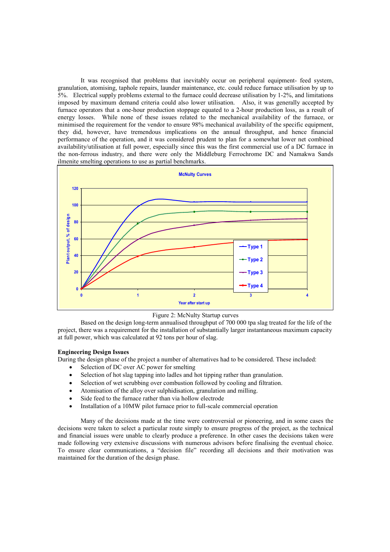It was recognised that problems that inevitably occur on peripheral equipment- feed system, granulation, atomising, taphole repairs, launder maintenance, etc. could reduce furnace utilisation by up to 5%. Electrical supply problems external to the furnace could decrease utilisation by 1-2%, and limitations imposed by maximum demand criteria could also lower utilisation. Also, it was generally accepted by furnace operators that a one-hour production stoppage equated to a 2-hour production loss, as a result of energy losses. While none of these issues related to the mechanical availability of the furnace, or minimised the requirement for the vendor to ensure 98% mechanical availability of the specific equipment, they did, however, have tremendous implications on the annual throughput, and hence financial performance of the operation, and it was considered prudent to plan for a somewhat lower net combined availability/utilisation at full power, especially since this was the first commercial use of a DC furnace in the non-ferrous industry, and there were only the Middleburg Ferrochrome DC and Namakwa Sands ilmenite smelting operations to use as partial benchmarks.





Based on the design long-term annualised throughput of 700 000 tpa slag treated for the life of the project, there was a requirement for the installation of substantially larger instantaneous maximum capacity at full power, which was calculated at 92 tons per hour of slag.

## **Engineering Design Issues**

During the design phase of the project a number of alternatives had to be considered. These included:

- Selection of DC over AC power for smelting
- · Selection of hot slag tapping into ladles and hot tipping rather than granulation.
- Selection of wet scrubbing over combustion followed by cooling and filtration.
- · Atomisation of the alloy over sulphidisation, granulation and milling.
- Side feed to the furnace rather than via hollow electrode
- Installation of a 10MW pilot furnace prior to full-scale commercial operation

Many of the decisions made at the time were controversial or pioneering, and in some cases the decisions were taken to select a particular route simply to ensure progress of the project, as the technical and financial issues were unable to clearly produce a preference. In other cases the decisions taken were made following very extensive discussions with numerous advisors before finalising the eventual choice. To ensure clear communications, a "decision file" recording all decisions and their motivation was maintained for the duration of the design phase.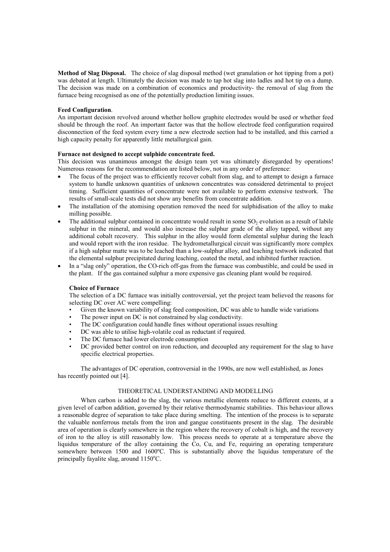**Method of Slag Disposal.** The choice of slag disposal method (wet granulation or hot tipping from a pot) was debated at length. Ultimately the decision was made to tap hot slag into ladles and hot tip on a dump. The decision was made on a combination of economics and productivity- the removal of slag from the furnace being recognised as one of the potentially production limiting issues.

### **Feed Configuration**.

An important decision revolved around whether hollow graphite electrodes would be used or whether feed should be through the roof. An important factor was that the hollow electrode feed configuration required disconnection of the feed system every time a new electrode section had to be installed, and this carried a high capacity penalty for apparently little metallurgical gain.

## **Furnace not designed to accept sulphide concentrate feed.**

This decision was unanimous amongst the design team yet was ultimately disregarded by operations! Numerous reasons for the recommendation are listed below, not in any order of preference:

- The focus of the project was to efficiently recover cobalt from slag, and to attempt to design a furnace system to handle unknown quantities of unknown concentrates was considered detrimental to project timing. Sufficient quantities of concentrate were not available to perform extensive testwork. The results of small-scale tests did not show any benefits from concentrate addition.
- The installation of the atomising operation removed the need for sulphidisation of the alloy to make milling possible.
- The additional sulphur contained in concentrate would result in some  $SO<sub>2</sub>$  evolution as a result of labile sulphur in the mineral, and would also increase the sulphur grade of the alloy tapped, without any additional cobalt recovery. This sulphur in the alloy would form elemental sulphur during the leach and would report with the iron residue. The hydrometallurgical circuit was significantly more complex if a high sulphur matte was to be leached than a low-sulphur alloy, and leaching testwork indicated that the elemental sulphur precipitated during leaching, coated the metal, and inhibited further reaction.
- In a "slag only" operation, the CO-rich off-gas from the furnace was combustible, and could be used in the plant. If the gas contained sulphur a more expensive gas cleaning plant would be required.

### **Choice of Furnace**

The selection of a DC furnace was initially controversial, yet the project team believed the reasons for selecting DC over AC were compelling:

- Given the known variability of slag feed composition, DC was able to handle wide variations
- The power input on DC is not constrained by slag conductivity.
- The DC configuration could handle fines without operational issues resulting
- DC was able to utilise high-volatile coal as reductant if required.
- The DC furnace had lower electrode consumption
- DC provided better control on iron reduction, and decoupled any requirement for the slag to have specific electrical properties.

The advantages of DC operation, controversial in the 1990s, are now well established, as Jones has recently pointed out [4].

## THEORETICAL UNDERSTANDING AND MODELLING

When carbon is added to the slag, the various metallic elements reduce to different extents, at a given level of carbon addition, governed by their relative thermodynamic stabilities. This behaviour allows a reasonable degree of separation to take place during smelting. The intention of the process is to separate the valuable nonferrous metals from the iron and gangue constituents present in the slag. The desirable area of operation is clearly somewhere in the region where the recovery of cobalt is high, and the recovery of iron to the alloy is still reasonably low. This process needs to operate at a temperature above the liquidus temperature of the alloy containing the Co, Cu, and Fe, requiring an operating temperature somewhere between 1500 and 1600ºC. This is substantially above the liquidus temperature of the principally fayalite slag, around  $1150^{\circ}$ C.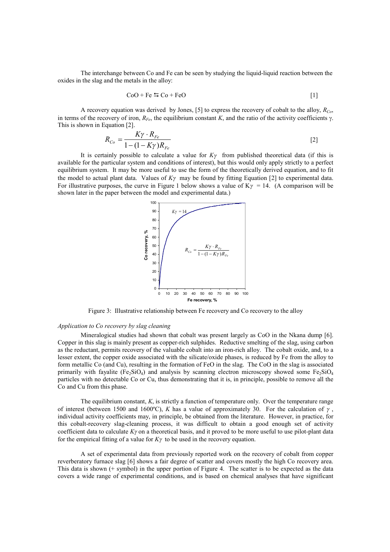The interchange between Co and Fe can be seen by studying the liquid-liquid reaction between the oxides in the slag and the metals in the alloy:

$$
CoO + Fe \leq Co + FeO
$$
 [1]

A recovery equation was derived by Jones, [5] to express the recovery of cobalt to the alloy, *RCo*, in terms of the recovery of iron,  $R_{Fe}$ , the equilibrium constant *K*, and the ratio of the activity coefficients  $\gamma$ . This is shown in Equation [2].

$$
R_{C_o} = \frac{K\gamma \cdot R_{Fe}}{1 - (1 - K\gamma)R_{Fe}} \tag{2}
$$

It is certainly possible to calculate a value for  $K\gamma$  from published theoretical data (if this is available for the particular system and conditions of interest), but this would only apply strictly to a perfect equilibrium system. It may be more useful to use the form of the theoretically derived equation, and to fit the model to actual plant data. Values of  $K\gamma$  may be found by fitting Equation [2] to experimental data. For illustrative purposes, the curve in Figure 1 below shows a value of  $K\gamma = 14$ . (A comparison will be shown later in the paper between the model and experimental data.)



Figure 3: Illustrative relationship between Fe recovery and Co recovery to the alloy

### *Application to Co recovery by slag cleaning*

Mineralogical studies had shown that cobalt was present largely as CoO in the Nkana dump [6]. Copper in this slag is mainly present as copper-rich sulphides. Reductive smelting of the slag, using carbon as the reductant, permits recovery of the valuable cobalt into an iron-rich alloy. The cobalt oxide, and, to a lesser extent, the copper oxide associated with the silicate/oxide phases, is reduced by Fe from the alloy to form metallic Co (and Cu), resulting in the formation of FeO in the slag. The CoO in the slag is associated primarily with fayalite  $(Fe_2SiO_4)$  and analysis by scanning electron microscopy showed some Fe $\overline{Fe_2SiO_4}$ particles with no detectable Co or Cu, thus demonstrating that it is, in principle, possible to remove all the Co and Cu from this phase.

The equilibrium constant, *K*, is strictly a function of temperature only. Over the temperature range of interest (between 1500 and 1600°C), *K* has a value of approximately 30. For the calculation of  $\gamma$ , individual activity coefficients may, in principle, be obtained from the literature. However, in practice, for this cobalt-recovery slag-cleaning process, it was difficult to obtain a good enough set of activity coefficient data to calculate *Ky* on a theoretical basis, and it proved to be more useful to use pilot-plant data for the empirical fitting of a value for  $K\gamma$  to be used in the recovery equation.

A set of experimental data from previously reported work on the recovery of cobalt from copper reverberatory furnace slag [6] shows a fair degree of scatter and covers mostly the high Co recovery area. This data is shown (+ symbol) in the upper portion of Figure 4. The scatter is to be expected as the data covers a wide range of experimental conditions, and is based on chemical analyses that have significant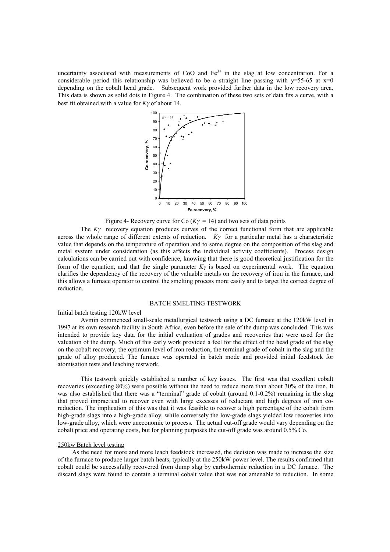uncertainty associated with measurements of CoO and  $Fe<sup>3+</sup>$  in the slag at low concentration. For a considerable period this relationship was believed to be a straight line passing with  $y=55-65$  at  $x=0$ depending on the cobalt head grade. Subsequent work provided further data in the low recovery area. This data is shown as solid dots in Figure 4. The combination of these two sets of data fits a curve, with a best fit obtained with a value for  $K\gamma$  of about 14.



Figure 4- Recovery curve for Co  $(K\gamma = 14)$  and two sets of data points

The  $K\gamma$  recovery equation produces curves of the correct functional form that are applicable across the whole range of different extents of reduction.  $K\gamma$  for a particular metal has a characteristic value that depends on the temperature of operation and to some degree on the composition of the slag and metal system under consideration (as this affects the individual activity coefficients). Process design calculations can be carried out with confidence, knowing that there is good theoretical justification for the form of the equation, and that the single parameter  $K\gamma$  is based on experimental work. The equation clarifies the dependency of the recovery of the valuable metals on the recovery of iron in the furnace, and this allows a furnace operator to control the smelting process more easily and to target the correct degree of reduction.

#### BATCH SMELTING TESTWORK

### Initial batch testing 120kW level

Avmin commenced small-scale metallurgical testwork using a DC furnace at the 120kW level in 1997 at its own research facility in South Africa, even before the sale of the dump was concluded. This was intended to provide key data for the initial evaluation of grades and recoveries that were used for the valuation of the dump. Much of this early work provided a feel for the effect of the head grade of the slag on the cobalt recovery, the optimum level of iron reduction, the terminal grade of cobalt in the slag and the grade of alloy produced. The furnace was operated in batch mode and provided initial feedstock for atomisation tests and leaching testwork.

This testwork quickly established a number of key issues. The first was that excellent cobalt recoveries (exceeding 80%) were possible without the need to reduce more than about 30% of the iron. It was also established that there was a "terminal" grade of cobalt (around 0.1-0.2%) remaining in the slag that proved impractical to recover even with large excesses of reductant and high degrees of iron coreduction. The implication of this was that it was feasible to recover a high percentage of the cobalt from high-grade slags into a high-grade alloy, while conversely the low-grade slags yielded low recoveries into low-grade alloy, which were uneconomic to process. The actual cut-off grade would vary depending on the cobalt price and operating costs, but for planning purposes the cut-off grade was around 0.5% Co.

#### 250kw Batch level testing

As the need for more and more leach feedstock increased, the decision was made to increase the size of the furnace to produce larger batch heats, typically at the 250kW power level. The results confirmed that cobalt could be successfully recovered from dump slag by carbothermic reduction in a DC furnace. The discard slags were found to contain a terminal cobalt value that was not amenable to reduction. In some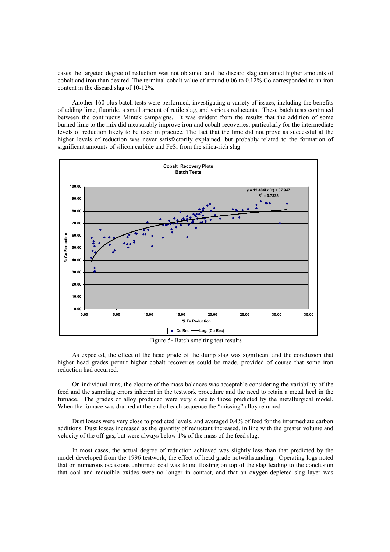cases the targeted degree of reduction was not obtained and the discard slag contained higher amounts of cobalt and iron than desired. The terminal cobalt value of around 0.06 to 0.12% Co corresponded to an iron content in the discard slag of 10-12%.

Another 160 plus batch tests were performed, investigating a variety of issues, including the benefits of adding lime, fluoride, a small amount of rutile slag, and various reductants. These batch tests continued between the continuous Mintek campaigns. It was evident from the results that the addition of some burned lime to the mix did measurably improve iron and cobalt recoveries, particularly for the intermediate levels of reduction likely to be used in practice. The fact that the lime did not prove as successful at the higher levels of reduction was never satisfactorily explained, but probably related to the formation of significant amounts of silicon carbide and FeSi from the silica-rich slag.



Figure 5- Batch smelting test results

As expected, the effect of the head grade of the dump slag was significant and the conclusion that higher head grades permit higher cobalt recoveries could be made, provided of course that some iron reduction had occurred.

On individual runs, the closure of the mass balances was acceptable considering the variability of the feed and the sampling errors inherent in the testwork procedure and the need to retain a metal heel in the furnace. The grades of alloy produced were very close to those predicted by the metallurgical model. When the furnace was drained at the end of each sequence the "missing" alloy returned.

Dust losses were very close to predicted levels, and averaged 0.4% of feed for the intermediate carbon additions. Dust losses increased as the quantity of reductant increased, in line with the greater volume and velocity of the off-gas, but were always below 1% of the mass of the feed slag.

In most cases, the actual degree of reduction achieved was slightly less than that predicted by the model developed from the 1996 testwork, the effect of head grade notwithstanding. Operating logs noted that on numerous occasions unburned coal was found floating on top of the slag leading to the conclusion that coal and reducible oxides were no longer in contact, and that an oxygen-depleted slag layer was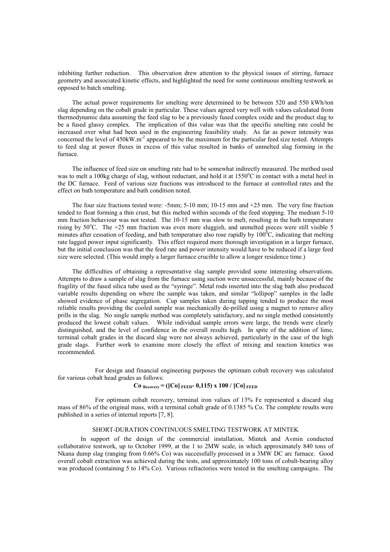inhibiting further reduction. This observation drew attention to the physical issues of stirring, furnace geometry and associated kinetic effects, and highlighted the need for some continuous smelting testwork as opposed to batch smelting.

The actual power requirements for smelting were determined to be between 520 and 550 kWh/ton slag depending on the cobalt grade in particular. These values agreed very well with values calculated from thermodynamic data assuming the feed slag to be a previously fused complex oxide and the product slag to be a fused glassy complex. The implication of this value was that the specific smelting rate could be increased over what had been used in the engineering feasibility study. As far as power intensity was concerned the level of 450kW.m<sup>-2</sup> appeared to be the maximum for the particular feed size tested. Attempts to feed slag at power fluxes in excess of this value resulted in banks of unmelted slag forming in the furnace.

The influence of feed size on smelting rate had to be somewhat indirectly measured. The method used was to melt a 100kg charge of slag, without reductant, and hold it at 1550°C in contact with a metal heel in the DC furnace. Feed of various size fractions was introduced to the furnace at controlled rates and the effect on bath temperature and bath condition noted.

The four size fractions tested were: -5mm; 5-10 mm; 10-15 mm and +25 mm. The very fine fraction tended to float forming a thin crust, but this melted within seconds of the feed stopping. The medium 5-10 mm fraction behaviour was not tested. The 10-15 mm was slow to melt, resulting in the bath temperature rising by  $50^{\circ}$ C. The  $+25$  mm fraction was even more sluggish, and unmelted pieces were still visible 5 minutes after cessation of feeding, and bath temperature also rose rapidly by  $100^{\circ}$ C, indicating that melting rate lagged power input significantly. This effect required more thorough investigation in a larger furnace, but the initial conclusion was that the feed rate and power intensity would have to be reduced if a large feed size were selected. (This would imply a larger furnace crucible to allow a longer residence time.)

The difficulties of obtaining a representative slag sample provided some interesting observations. Attempts to draw a sample of slag from the furnace using suction were unsuccessful, mainly because of the fragility of the fused silica tube used as the "syringe". Metal rods inserted into the slag bath also produced variable results depending on where the sample was taken, and similar "lollipop" samples in the ladle showed evidence of phase segregation. Cup samples taken during tapping tended to produce the most reliable results providing the cooled sample was mechanically de-prilled using a magnet to remove alloy prills in the slag. No single sample method was completely satisfactory, and no single method consistently produced the lowest cobalt values. While individual sample errors were large, the trends were clearly distinguished, and the level of confidence in the overall results high. In spite of the addition of lime, terminal cobalt grades in the discard slag were not always achieved, particularly in the case of the high grade slags. Further work to examine more closely the effect of mixing and reaction kinetics was recommended.

For design and financial engineering purposes the optimum cobalt recovery was calculated for various cobalt head grades as follows:

# **Co**  $_{\text{Recovery}} = (\text{[Co]}_{\text{FEED}} - 0, 115) \times 100 / [\text{Co]}_{\text{FEED}}$

For optimum cobalt recovery, terminal iron values of 13% Fe represented a discard slag mass of 86% of the original mass, with a terminal cobalt grade of 0.1385 % Co. The complete results were published in a series of internal reports [7, 8].

## SHORT-DURATION CONTINUOUS SMELTING TESTWORK AT MINTEK

In support of the design of the commercial installation, Mintek and Avmin conducted collaborative testwork, up to October 1999, at the 1 to 2MW scale, in which approximately 840 tons of Nkana dump slag (ranging from 0.66% Co) was successfully processed in a 3MW DC arc furnace. Good overall cobalt extraction was achieved during the tests, and approximately 100 tons of cobalt-bearing alloy was produced (containing 5 to 14% Co). Various refractories were tested in the smelting campaigns. The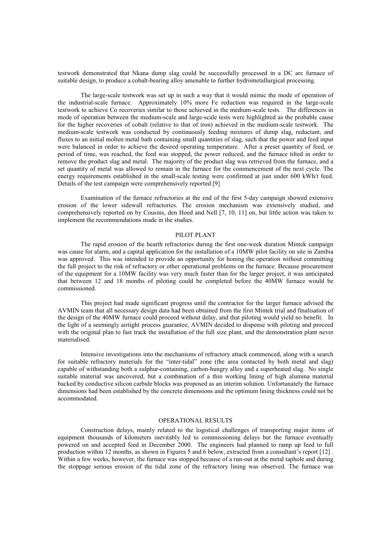testwork demonstrated that Nkana dump slag could be successfully processed in a DC arc furnace of suitable design, to produce a cobalt-bearing alloy amenable to further hydrometallurgical processing.

The large-scale testwork was set up in such a way that it would mimic the mode of operation of the industrial-scale furnace. Approximately 10% more Fe reduction was required in the large-scale testwork to achieve Co recoveries similar to those achieved in the medium-scale tests. The differences in mode of operation between the medium-scale and large-scale tests were highlighted as the probable cause for the higher recoveries of cobalt (relative to that of iron) achieved in the medium-scale testwork. The medium-scale testwork was conducted by continuously feeding mixtures of dump slag, reductant, and fluxes to an initial molten metal bath containing small quantities of slag, such that the power and feed input were balanced in order to achieve the desired operating temperature. After a preset quantity of feed, or period of time, was reached, the feed was stopped, the power reduced, and the furnace tilted in order to remove the product slag and metal. The majority of the product slag was retrieved from the furnace, and a set quantity of metal was allowed to remain in the furnace for the commencement of the next cycle. The energy requirements established in the small-scale testing were confirmed at just under 600 kWh/t feed. Details of the test campaign were comprehensively reported [9]

Examination of the furnace refractories at the end of the first 5-day campaign showed extensive erosion of the lower sidewall refractories. The erosion mechanism was extensively studied, and comprehensively reported on by Cousins, den Hoed and Nell [7, 10, 11] on, but little action was taken to implement the recommendations made in the studies.

### PILOT PLANT

The rapid erosion of the hearth refractories during the first one-week duration Mintek campaign was cause for alarm, and a capital application for the installation of a 10MW pilot facility on site in Zambia was approved. This was intended to provide an opportunity for honing the operation without committing the full project to the risk of refractory or other operational problems on the furnace. Because procurement of the equipment for a 10MW facility was very much faster than for the larger project, it was anticipated that between 12 and 18 months of piloting could be completed before the 40MW furnace would be commissioned.

This project had made significant progress until the contractor for the larger furnace advised the AVMIN team that all necessary design data had been obtained from the first Mintek trial and finalisation of the design of the 40MW furnace could proceed without delay, and that piloting would yield no benefit. In the light of a seemingly airtight process guarantee, AVMIN decided to dispense with piloting and proceed with the original plan to fast track the installation of the full size plant, and the demonstration plant never materialised.

Intensive investigations into the mechanisms of refractory attack commenced, along with a search for suitable refractory materials for the "inter-tidal" zone (the area contacted by both metal and slag) capable of withstanding both a sulphur-containing, carbon-hungry alloy and a superheated slag. No single suitable material was uncovered, but a combination of a thin working lining of high alumina material backed by conductive silicon carbide blocks was proposed as an interim solution. Unfortunately the furnace dimensions had been established by the concrete dimensions and the optimum lining thickness could not be accommodated.

### OPERATIONAL RESULTS

Construction delays, mainly related to the logistical challenges of transporting major items of equipment thousands of kilometers inevitably led to commissioning delays but the furnace eventually powered on and accepted feed in December 2000. The engineers had planned to ramp up feed to full production within 12 months, as shown in Figures 5 and 6 below, extracted from a consultant's report [12] . Within a few weeks, however, the furnace was stopped because of a run-out at the metal taphole and during the stoppage serious erosion of the tidal zone of the refractory lining was observed. The furnace was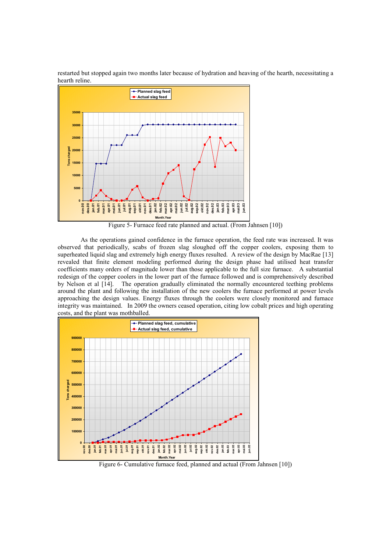



Figure 5- Furnace feed rate planned and actual. (From Jahnsen [10])

As the operations gained confidence in the furnace operation, the feed rate was increased. It was observed that periodically, scabs of frozen slag sloughed off the copper coolers, exposing them to superheated liquid slag and extremely high energy fluxes resulted. A review of the design by MacRae [13] revealed that finite element modeling performed during the design phase had utilised heat transfer coefficients many orders of magnitude lower than those applicable to the full size furnace. A substantial redesign of the copper coolers in the lower part of the furnace followed and is comprehensively described by Nelson et al [14]. The operation gradually eliminated the normally encountered teething problems around the plant and following the installation of the new coolers the furnace performed at power levels approaching the design values. Energy fluxes through the coolers were closely monitored and furnace integrity was maintained. In 2009 the owners ceased operation, citing low cobalt prices and high operating costs, and the plant was mothballed.



Figure 6- Cumulative furnace feed, planned and actual (From Jahnsen [10])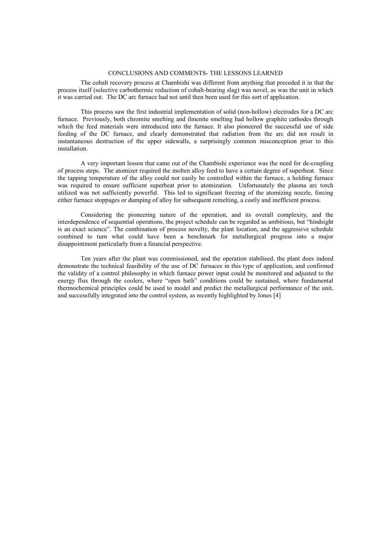#### CONCLUSIONS AND COMMENTS- THE LESSONS LEARNED

The cobalt recovery process at Chambishi was different from anything that preceded it in that the process itself (selective carbothermic reduction of cobalt-bearing slag) was novel, as was the unit in which it was carried out. The DC arc furnace had not until then been used for this sort of application.

This process saw the first industrial implementation of solid (non-hollow) electrodes for a DC arc furnace. Previously, both chromite smelting and ilmenite smelting had hollow graphite cathodes through which the feed materials were introduced into the furnace. It also pioneered the successful use of side feeding of the DC furnace, and clearly demonstrated that radiation from the arc did not result in instantaneous destruction of the upper sidewalls, a surprisingly common misconception prior to this installation.

A very important lesson that came out of the Chambishi experience was the need for de-coupling of process steps. The atomizer required the molten alloy feed to have a certain degree of superheat. Since the tapping temperature of the alloy could not easily be controlled within the furnace, a holding furnace was required to ensure sufficient superheat prior to atomization. Unfortunately the plasma arc torch utilized was not sufficiently powerful. This led to significant freezing of the atomizing nozzle, forcing either furnace stoppages or dumping of alloy for subsequent remelting, a costly and inefficient process.

Considering the pioneering nature of the operation, and its overall complexity, and the interdependence of sequential operations, the project schedule can be regarded as ambitious, but "hindsight is an exact science". The combination of process novelty, the plant location, and the aggressive schedule combined to turn what could have been a benchmark for metallurgical progress into a major disappointment particularly from a financial perspective.

Ten years after the plant was commissioned, and the operation stabilised, the plant does indeed demonstrate the technical feasibility of the use of DC furnaces in this type of application, and confirmed the validity of a control philosophy in which furnace power input could be monitored and adjusted to the energy flux through the coolers, where "open bath" conditions could be sustained, where fundamental thermochemical principles could be used to model and predict the metallurgical performance of the unit, and successfully integrated into the control system, as recently highlighted by Jones [4]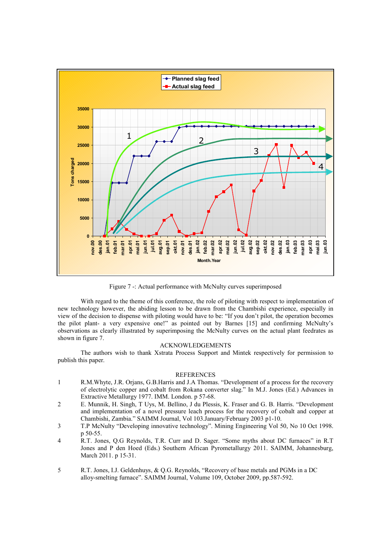

Figure 7 -: Actual performance with McNulty curves superimposed

With regard to the theme of this conference, the role of piloting with respect to implementation of new technology however, the abiding lesson to be drawn from the Chambishi experience, especially in view of the decision to dispense with piloting would have to be: "If you don't pilot, the operation becomes the pilot plant- a very expensive one!" as pointed out by Barnes [15] and confirming McNulty's observations as clearly illustrated by superimposing the McNulty curves on the actual plant feedrates as shown in figure 7.

### ACKNOWLEDGEMENTS

The authors wish to thank Xstrata Process Support and Mintek respectively for permission to publish this paper.

#### REFERENCES

- 1 R.M.Whyte, J.R. Orjans, G.B.Harris and J.A Thomas. "Development of a process for the recovery of electrolytic copper and cobalt from Rokana converter slag." In M.J. Jones (Ed.) Advances in Extractive Metallurgy 1977. IMM. London. p 57-68.
- 2 E. Munnik, H. Singh, T Uys, M. Bellino, J du Plessis, K. Fraser and G. B. Harris. "Development and implementation of a novel pressure leach process for the recovery of cobalt and copper at Chambishi, Zambia." SAIMM Journal, Vol 103.January/February 2003 p1-10.
- 3 T.P McNulty "Developing innovative technology". Mining Engineering Vol 50, No 10 Oct 1998. p 50-55.
- 4 R.T. Jones, Q.G Reynolds, T.R. Curr and D. Sager. "Some myths about DC furnaces" in R.T Jones and P den Hoed (Eds.) Southern African Pyrometallurgy 2011. SAIMM, Johannesburg, March 2011. p 15-31.
- 5 R.T. Jones, I.J. Geldenhuys, & Q.G. Reynolds, "Recovery of base metals and PGMs in a DC alloy-smelting furnace". SAIMM Journal, Volume 109, October 2009, pp.587-592.